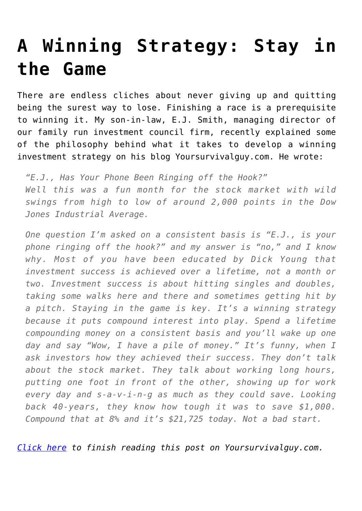# **[A Winning Strategy: Stay in](https://www.youngsworldmoneyforecast.com/winning-strategy-stay-game/) [the Game](https://www.youngsworldmoneyforecast.com/winning-strategy-stay-game/)**

There are endless cliches about never giving up and quitting being the surest way to lose. Finishing a race is a prerequisite to winning it. My son-in-law, E.J. Smith, managing director of our family run investment council firm, recently explained some of the philosophy behind what it takes to develop a winning investment strategy on his blog Yoursurvivalguy.com. He wrote:

*"E.J., Has Your Phone Been Ringing off the Hook?" Well this was a fun month for the stock market with wild swings from high to low of around 2,000 points in the Dow Jones Industrial Average.*

*One question I'm asked on a consistent basis is "E.J., is your phone ringing off the hook?" and my answer is "no," and I know why. Most of you have been educated by Dick Young that investment success is achieved over a lifetime, not a month or two. Investment success is about hitting singles and doubles, taking some walks here and there and sometimes getting hit by a pitch. Staying in the game is key. It's a winning strategy because it puts compound interest into play. Spend a lifetime compounding money on a consistent basis and you'll wake up one day and say "Wow, I have a pile of money." It's funny, when I ask investors how they achieved their success. They don't talk about the stock market. They talk about working long hours, putting one foot in front of the other, showing up for work every day and s-a-v-i-n-g as much as they could save. Looking back 40-years, they know how tough it was to save \$1,000. Compound that at 8% and it's \$21,725 today. Not a bad start.*

*[Click here](https://www.yoursurvivalguy.com/financial-security/e-j-has-your-phone-been-ringing-off-the-hook/) to finish reading this post on Yoursurvivalguy.com.*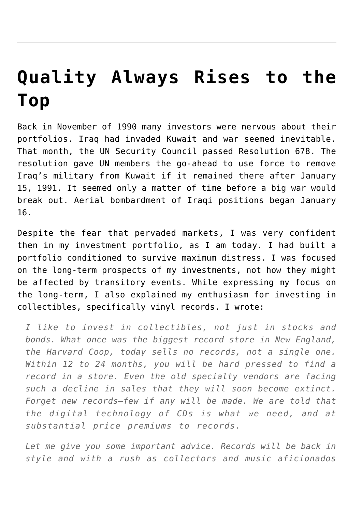# **[Quality Always Rises to the](https://www.youngsworldmoneyforecast.com/quality-always-rises-top/) [Top](https://www.youngsworldmoneyforecast.com/quality-always-rises-top/)**

Back in November of 1990 many investors were nervous about their portfolios. Iraq had invaded Kuwait and war seemed inevitable. That month, the UN Security Council passed Resolution 678. The resolution gave UN members the go-ahead to use force to remove Iraq's military from Kuwait if it remained there after January 15, 1991. It seemed only a matter of time before a big war would break out. Aerial bombardment of Iraqi positions began January 16.

Despite the fear that pervaded markets, I was very confident then in my investment portfolio, as I am today. I had built a portfolio conditioned to survive maximum distress. I was focused on the long-term prospects of my investments, not how they might be affected by transitory events. While expressing my focus on the long-term, I also explained my enthusiasm for investing in collectibles, specifically vinyl records. I wrote:

*I like to invest in collectibles, not just in stocks and bonds. What once was the biggest record store in New England, the Harvard Coop, today sells no records, not a single one. Within 12 to 24 months, you will be hard pressed to find a record in a store. Even the old specialty vendors are facing such a decline in sales that they will soon become extinct. Forget new records—few if any will be made. We are told that the digital technology of CDs is what we need, and at substantial price premiums to records.*

*Let me give you some important advice. Records will be back in style and with a rush as collectors and music aficionados*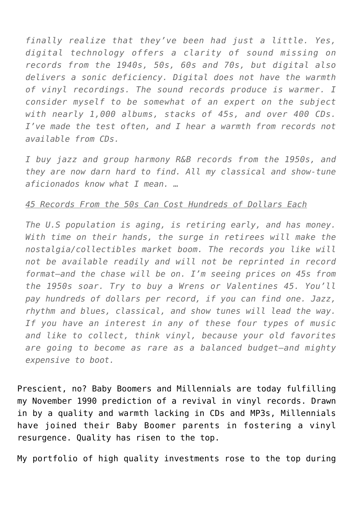*finally realize that they've been had just a little. Yes, digital technology offers a clarity of sound missing on records from the 1940s, 50s, 60s and 70s, but digital also delivers a sonic deficiency. Digital does not have the warmth of vinyl recordings. The sound records produce is warmer. I consider myself to be somewhat of an expert on the subject with nearly 1,000 albums, stacks of 45s, and over 400 CDs. I've made the test often, and I hear a warmth from records not available from CDs.*

*I buy jazz and group harmony R&B records from the 1950s, and they are now darn hard to find. All my classical and show-tune aficionados know what I mean. …*

#### *45 Records From the 50s Can Cost Hundreds of Dollars Each*

*The U.S population is aging, is retiring early, and has money. With time on their hands, the surge in retirees will make the nostalgia/collectibles market boom. The records you like will not be available readily and will not be reprinted in record format—and the chase will be on. I'm seeing prices on 45s from the 1950s soar. Try to buy a Wrens or Valentines 45. You'll pay hundreds of dollars per record, if you can find one. Jazz, rhythm and blues, classical, and show tunes will lead the way. If you have an interest in any of these four types of music and like to collect, think vinyl, because your old favorites are going to become as rare as a balanced budget—and mighty expensive to boot.*

Prescient, no? Baby Boomers and Millennials are today fulfilling my November 1990 prediction of a revival in vinyl records. Drawn in by a quality and warmth lacking in CDs and MP3s, Millennials have joined their Baby Boomer parents in fostering a vinyl resurgence. Quality has risen to the top.

My portfolio of high quality investments rose to the top during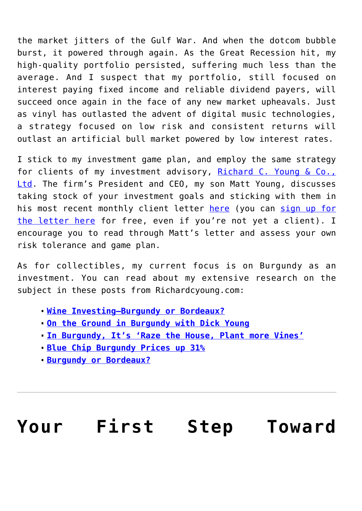the market jitters of the Gulf War. And when the dotcom bubble burst, it powered through again. As the Great Recession hit, my high-quality portfolio persisted, suffering much less than the average. And I suspect that my portfolio, still focused on interest paying fixed income and reliable dividend payers, will succeed once again in the face of any new market upheavals. Just as vinyl has outlasted the advent of digital music technologies, a strategy focused on low risk and consistent returns will outlast an artificial bull market powered by low interest rates.

I stick to my investment game plan, and employ the same strategy for clients of my investment advisory, [Richard C. Young & Co.,](https://www.younginvestments.com/) [Ltd](https://www.younginvestments.com/). The firm's President and CEO, my son Matt Young, discusses taking stock of your investment goals and sticking with them in his most recent monthly client letter [here](https://www.younginvestments.com/client-letter-january-2018/) (you can [sign up for](https://forms.aweber.com/form/33/1959187233.htm) [the letter here](https://forms.aweber.com/form/33/1959187233.htm) for free, even if you're not yet a client). I encourage you to read through Matt's letter and assess your own risk tolerance and game plan.

As for collectibles, my current focus is on Burgundy as an investment. You can read about my extensive research on the subject in these posts from Richardcyoung.com:

- **[Wine Investing—Burgundy or Bordeaux?](https://www.richardcyoung.com/lifestyle/food/wine-food/wine-investing-burgundy-bordeaux/)**
- **[On the Ground in Burgundy with Dick Young](https://www.richardcyoung.com/lifestyle/food/wine-food/ground-burgundy-dick-young/)**
- **[In Burgundy, It's 'Raze the House, Plant more Vines'](https://www.richardcyoung.com/lifestyle/food/wine-food/burgundy-raze-house-plant-vines/)**
- **[Blue Chip Burgundy Prices up 31%](https://www.richardcyoung.com/lifestyle/food/wine-food/blue-chip-burgundy-prices-31/)**
- **[Burgundy or Bordeaux?](https://www.richardcyoung.com/essential-news/burgundy-bordeaux-2/)**

# **[Your First Step Toward](https://www.youngsworldmoneyforecast.com/first-step-toward-investment-success/)**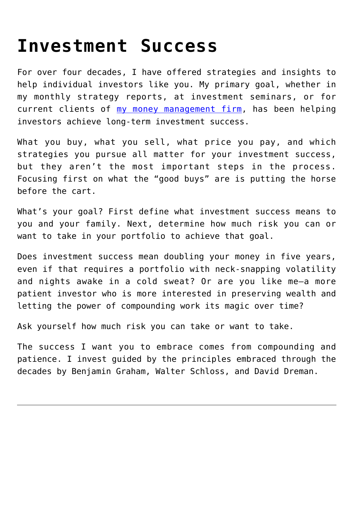# **[Investment Success](https://www.youngsworldmoneyforecast.com/first-step-toward-investment-success/)**

For over four decades, I have offered strategies and insights to help individual investors like you. My primary goal, whether in my monthly strategy reports, at investment seminars, or for current clients of [my money management firm,](https://www.younginvestments.com/) has been helping investors achieve long-term investment success.

What you buy, what you sell, what price you pay, and which strategies you pursue all matter for your investment success, but they aren't the most important steps in the process. Focusing first on what the "good buys" are is putting the horse before the cart.

What's your goal? First define what investment success means to you and your family. Next, determine how much risk you can or want to take in your portfolio to achieve that goal.

Does investment success mean doubling your money in five years, even if that requires a portfolio with neck-snapping volatility and nights awake in a cold sweat? Or are you like me—a more patient investor who is more interested in preserving wealth and letting the power of compounding work its magic over time?

Ask yourself how much risk you can take or want to take.

The success I want you to embrace comes from compounding and patience. I invest guided by the principles embraced through the decades by Benjamin Graham, Walter Schloss, and David Dreman.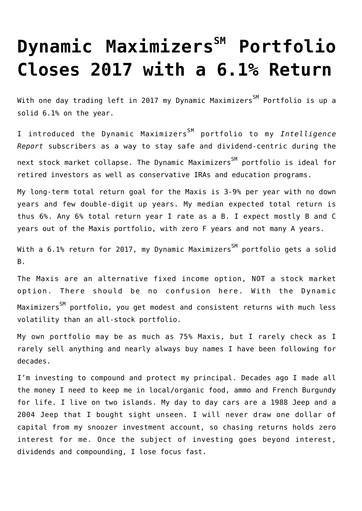# **[Dynamic Maximizers](https://www.youngsworldmoneyforecast.com/dynamic-maximizerssm-portfolio-closes-2017-6-1-return/)[SM](https://www.youngsworldmoneyforecast.com/dynamic-maximizerssm-portfolio-closes-2017-6-1-return/) [Portfolio](https://www.youngsworldmoneyforecast.com/dynamic-maximizerssm-portfolio-closes-2017-6-1-return/) [Closes 2017 with a 6.1% Return](https://www.youngsworldmoneyforecast.com/dynamic-maximizerssm-portfolio-closes-2017-6-1-return/)**

With one day trading left in 2017 my Dynamic Maximizers<sup>SM</sup> Portfolio is up a solid 6.1% on the year.

I introduced the Dynamic MaximizersSM portfolio to my *Intelligence Report* subscribers as a way to stay safe and dividend-centric during the next stock market collapse. The Dynamic Maximizers<sup>SM</sup> portfolio is ideal for retired investors as well as conservative IRAs and education programs.

My long-term total return goal for the Maxis is 3-9% per year with no down years and few double-digit up years. My median expected total return is thus 6%. Any 6% total return year I rate as a B. I expect mostly B and C years out of the Maxis portfolio, with zero F years and not many A years.

With a  $6.1$ % return for 2017, my Dynamic Maximizers<sup>SM</sup> portfolio gets a solid B.

The Maxis are an alternative fixed income option, NOT a stock market option. There should be no confusion here. With the Dynamic Maximizers<sup>SM</sup> portfolio, you get modest and consistent returns with much less volatility than an all-stock portfolio.

My own portfolio may be as much as 75% Maxis, but I rarely check as I rarely sell anything and nearly always buy names I have been following for decades.

I'm investing to compound and protect my principal. Decades ago I made all the money I need to keep me in local/organic food, ammo and French Burgundy for life. I live on two islands. My day to day cars are a 1988 Jeep and a 2004 Jeep that I bought sight unseen. I will never draw one dollar of capital from my snoozer investment account, so chasing returns holds zero interest for me. Once the subject of investing goes beyond interest, dividends and compounding, I lose focus fast.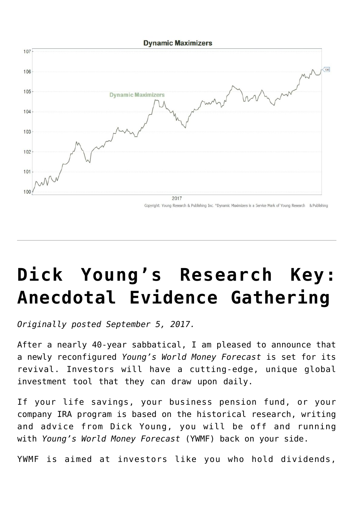

# **[Dick Young's Research Key:](https://www.youngsworldmoneyforecast.com/breaking-news-richard-c-young/) [Anecdotal Evidence Gathering](https://www.youngsworldmoneyforecast.com/breaking-news-richard-c-young/)**

*Originally posted September 5, 2017.*

After a nearly 40-year sabbatical, I am pleased to announce that a newly reconfigured *Young's World Money Forecast* is set for its revival. Investors will have a cutting-edge, unique global investment tool that they can draw upon daily.

If your life savings, your business pension fund, or your company IRA program is based on the historical research, writing and advice from Dick Young, you will be off and running with *Young's World Money Forecast* (YWMF) back on your side.

YWMF is aimed at investors like you who hold dividends,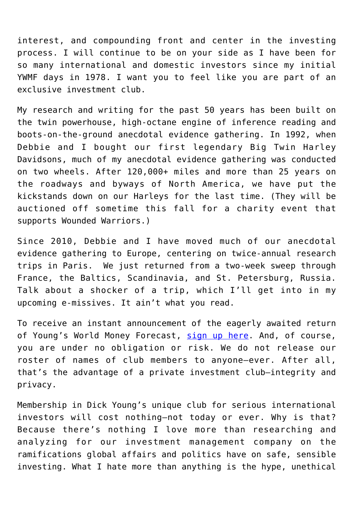interest, and compounding front and center in the investing process. I will continue to be on your side as I have been for so many international and domestic investors since my initial YWMF days in 1978. I want you to feel like you are part of an exclusive investment club.

My research and writing for the past 50 years has been built on the twin powerhouse, high-octane engine of inference reading and boots-on-the-ground anecdotal evidence gathering. In 1992, when Debbie and I bought our first legendary Big Twin Harley Davidsons, much of my anecdotal evidence gathering was conducted on two wheels. After 120,000+ miles and more than 25 years on the roadways and byways of North America, we have put the kickstands down on our Harleys for the last time. (They will be auctioned off sometime this fall for a charity event that supports Wounded Warriors.)

Since 2010, Debbie and I have moved much of our anecdotal evidence gathering to Europe, centering on twice-annual research trips in Paris. We just returned from a two-week sweep through France, the Baltics, Scandinavia, and St. Petersburg, Russia. Talk about a shocker of a trip, which I'll get into in my upcoming e-missives. It ain't what you read.

To receive an instant announcement of the eagerly awaited return of Young's World Money Forecast, [sign up here.](https://forms.aweber.com/form/48/1632328448.htm) And, of course, you are under no obligation or risk. We do not release our roster of names of club members to anyone—ever. After all, that's the advantage of a private investment club—integrity and privacy.

Membership in Dick Young's unique club for serious international investors will cost nothing—not today or ever. Why is that? Because there's nothing I love more than researching and analyzing for our investment management company on the ramifications global affairs and politics have on safe, sensible investing. What I hate more than anything is the hype, unethical